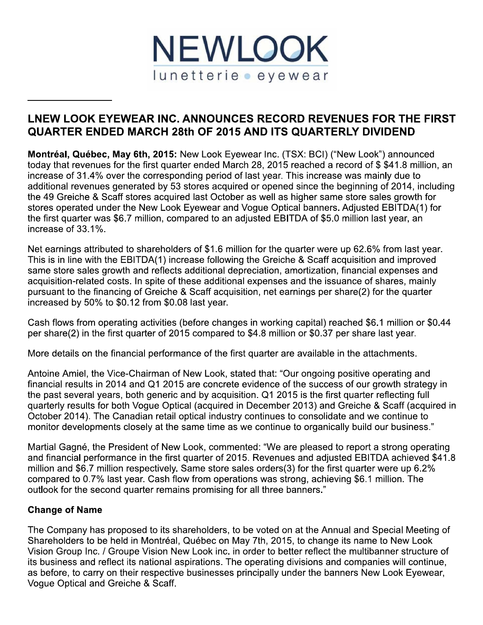

# LNEW LOOK EYEWEAR INC. ANNOUNCES RECORD REVENUES FOR THE FIRST **QUARTER ENDED MARCH 28th OF 2015 AND ITS QUARTERLY DIVIDEND**

Montréal, Québec, May 6th, 2015: New Look Eyewear Inc. (TSX: BCI) ("New Look") announced today that revenues for the first quarter ended March 28, 2015 reached a record of \$\$41.8 million, an increase of 31.4% over the corresponding period of last year. This increase was mainly due to additional revenues generated by 53 stores acquired or opened since the beginning of 2014, including the 49 Greiche & Scaff stores acquired last October as well as higher same store sales growth for stores operated under the New Look Eyewear and Vogue Optical banners. Adjusted EBITDA(1) for the first quarter was \$6.7 million, compared to an adjusted EBITDA of \$5.0 million last year, an increase of 33.1%.

Net earnings attributed to shareholders of \$1.6 million for the quarter were up 62.6% from last year. This is in line with the EBITDA(1) increase following the Greiche & Scaff acquisition and improved same store sales growth and reflects additional depreciation, amortization, financial expenses and acquisition-related costs. In spite of these additional expenses and the issuance of shares, mainly pursuant to the financing of Greiche & Scaff acquisition, net earnings per share(2) for the quarter increased by 50% to \$0.12 from \$0.08 last year.

Cash flows from operating activities (before changes in working capital) reached \$6.1 million or \$0.44 per share(2) in the first quarter of 2015 compared to \$4.8 million or \$0.37 per share last year.

More details on the financial performance of the first quarter are available in the attachments.

Antoine Amiel, the Vice-Chairman of New Look, stated that: "Our ongoing positive operating and financial results in 2014 and Q1 2015 are concrete evidence of the success of our growth strategy in the past several years, both generic and by acquisition. Q1 2015 is the first quarter reflecting full quarterly results for both Vogue Optical (acquired in December 2013) and Greiche & Scaff (acquired in October 2014). The Canadian retail optical industry continues to consolidate and we continue to monitor developments closely at the same time as we continue to organically build our business."

Martial Gagné, the President of New Look, commented: "We are pleased to report a strong operating and financial performance in the first quarter of 2015. Revenues and adjusted EBITDA achieved \$41.8 million and \$6.7 million respectively. Same store sales orders(3) for the first quarter were up 6.2% compared to 0.7% last year. Cash flow from operations was strong, achieving \$6.1 million. The outlook for the second quarter remains promising for all three banners."

## **Change of Name**

The Company has proposed to its shareholders, to be voted on at the Annual and Special Meeting of Shareholders to be held in Montréal, Québec on May 7th, 2015, to change its name to New Look Vision Group Inc. / Groupe Vision New Look inc. in order to better reflect the multibanner structure of its business and reflect its national aspirations. The operating divisions and companies will continue, as before, to carry on their respective businesses principally under the banners New Look Eyewear, Voque Optical and Greiche & Scaff.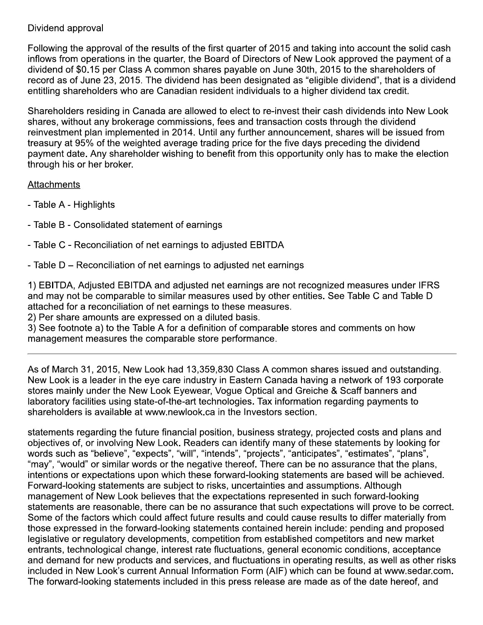## Dividend approval

Following the approval of the results of the first quarter of 2015 and taking into account the solid cash inflows from operations in the quarter, the Board of Directors of New Look approved the payment of a dividend of \$0.15 per Class A common shares payable on June 30th, 2015 to the shareholders of record as of June 23, 2015. The dividend has been designated as "eligible dividend", that is a dividend entitling shareholders who are Canadian resident individuals to a higher dividend tax credit.

Shareholders residing in Canada are allowed to elect to re-invest their cash dividends into New Look shares, without any brokerage commissions, fees and transaction costs through the dividend reinvestment plan implemented in 2014. Until any further announcement, shares will be issued from treasury at 95% of the weighted average trading price for the five days preceding the dividend payment date. Any shareholder wishing to benefit from this opportunity only has to make the election through his or her broker.

### **Attachments**

- Table A Highlights
- Table B Consolidated statement of earnings
- Table C Reconciliation of net earnings to adjusted EBITDA
- Table D Reconciliation of net earnings to adjusted net earnings

1) EBITDA, Adjusted EBITDA and adjusted net earnings are not recognized measures under IFRS and may not be comparable to similar measures used by other entities. See Table C and Table D attached for a reconciliation of net earnings to these measures.

2) Per share amounts are expressed on a diluted basis.

3) See footnote a) to the Table A for a definition of comparable stores and comments on how management measures the comparable store performance.

As of March 31, 2015, New Look had 13,359,830 Class A common shares issued and outstanding. New Look is a leader in the eye care industry in Eastern Canada having a network of 193 corporate stores mainly under the New Look Eyewear, Vogue Optical and Greiche & Scaff banners and laboratory facilities using state-of-the-art technologies. Tax information regarding payments to shareholders is available at www.newlook.ca in the Investors section.

statements regarding the future financial position, business strategy, projected costs and plans and objectives of, or involving New Look. Readers can identify many of these statements by looking for words such as "believe", "expects", "will", "intends", "projects", "anticipates", "estimates", "plans", "may", "would" or similar words or the negative thereof. There can be no assurance that the plans, intentions or expectations upon which these forward-looking statements are based will be achieved. Forward-looking statements are subject to risks, uncertainties and assumptions. Although management of New Look believes that the expectations represented in such forward-looking statements are reasonable, there can be no assurance that such expectations will prove to be correct. Some of the factors which could affect future results and could cause results to differ materially from those expressed in the forward-looking statements contained herein include: pending and proposed legislative or regulatory developments, competition from established competitors and new market entrants, technological change, interest rate fluctuations, general economic conditions, acceptance and demand for new products and services, and fluctuations in operating results, as well as other risks included in New Look's current Annual Information Form (AIF) which can be found at www.sedar.com. The forward-looking statements included in this press release are made as of the date hereof, and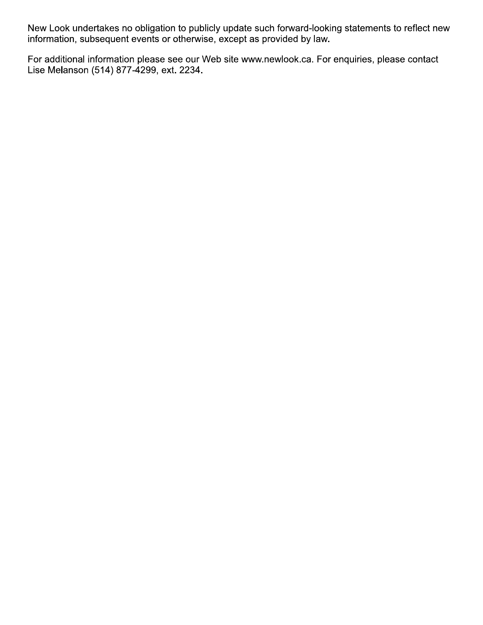New Look undertakes no obligation to publicly update such forward-looking statements to reflect new information, subsequent events or otherwise, except as provided by law.

For additional information please see our Web site www.newlook.ca. For enquiries, please contact Lise Melanson (514) 877-4299, ext. 2234.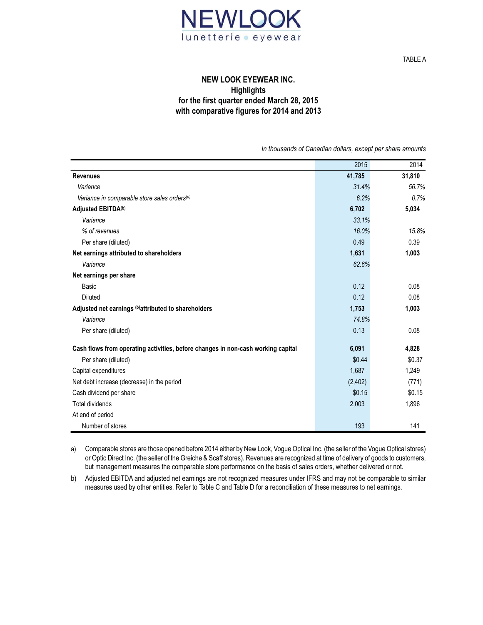

TABLE A

#### **NEW LOOK EYEWEAR INC. Highlights for the first quarter ended March 28, 2015 with comparative figures for 2014 and 2013**

*In thousands of Canadian dollars, except per share amounts*

|                                                                                  | 2015     | 2014   |
|----------------------------------------------------------------------------------|----------|--------|
| <b>Revenues</b>                                                                  | 41,785   | 31,810 |
| Variance                                                                         | 31.4%    | 56.7%  |
| Variance in comparable store sales orders <sup>(a)</sup>                         | 6.2%     | 0.7%   |
| Adjusted EBITDA(b)                                                               | 6,702    | 5,034  |
| Variance                                                                         | 33.1%    |        |
| % of revenues                                                                    | 16.0%    | 15.8%  |
| Per share (diluted)                                                              | 0.49     | 0.39   |
| Net earnings attributed to shareholders                                          | 1,631    | 1,003  |
| Variance                                                                         | 62.6%    |        |
| Net earnings per share                                                           |          |        |
| Basic                                                                            | 0.12     | 0.08   |
| <b>Diluted</b>                                                                   | 0.12     | 0.08   |
| Adjusted net earnings (b) attributed to shareholders                             | 1,753    | 1,003  |
| Variance                                                                         | 74.8%    |        |
| Per share (diluted)                                                              | 0.13     | 0.08   |
| Cash flows from operating activities, before changes in non-cash working capital | 6,091    | 4,828  |
| Per share (diluted)                                                              | \$0.44   | \$0.37 |
| Capital expenditures                                                             | 1,687    | 1,249  |
| Net debt increase (decrease) in the period                                       | (2, 402) | (771)  |
| Cash dividend per share                                                          | \$0.15   | \$0.15 |
| <b>Total dividends</b>                                                           | 2,003    | 1,896  |
| At end of period                                                                 |          |        |
| Number of stores                                                                 | 193      | 141    |

a) Comparable stores are those opened before 2014 either by New Look, Vogue Optical Inc. (the seller of the Vogue Optical stores) or Optic Direct Inc. (the seller of the Greiche & Scaff stores). Revenues are recognized at time of delivery of goods to customers, but management measures the comparable store performance on the basis of sales orders, whether delivered or not.

b) Adjusted EBITDA and adjusted net earnings are not recognized measures under IFRS and may not be comparable to similar measures used by other entities. Refer to Table C and Table D for a reconciliation of these measures to net earnings.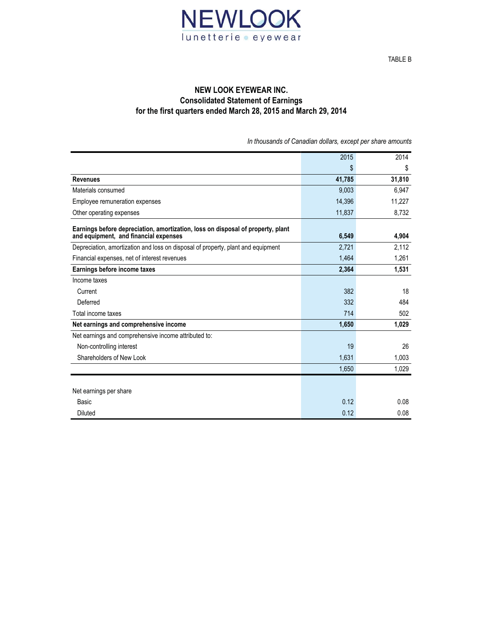

#### **NEW LOOK EYEWEAR INC. Consolidated Statement of Earnings for the first quarters ended March 28, 2015 and March 29, 2014**

*In thousands of Canadian dollars, except per share amounts*

|                                                                                                                          | 2015   | 2014   |
|--------------------------------------------------------------------------------------------------------------------------|--------|--------|
|                                                                                                                          | \$     | \$     |
| <b>Revenues</b>                                                                                                          | 41,785 | 31,810 |
| Materials consumed                                                                                                       | 9,003  | 6,947  |
| Employee remuneration expenses                                                                                           | 14,396 | 11,227 |
| Other operating expenses                                                                                                 | 11,837 | 8,732  |
| Earnings before depreciation, amortization, loss on disposal of property, plant<br>and equipment, and financial expenses | 6,549  | 4.904  |
| Depreciation, amortization and loss on disposal of property, plant and equipment                                         | 2,721  | 2,112  |
| Financial expenses, net of interest revenues                                                                             | 1.464  | 1,261  |
| Earnings before income taxes                                                                                             | 2,364  | 1,531  |
| Income taxes                                                                                                             |        |        |
| Current                                                                                                                  | 382    | 18     |
| Deferred                                                                                                                 | 332    | 484    |
| Total income taxes                                                                                                       | 714    | 502    |
| Net earnings and comprehensive income                                                                                    | 1,650  | 1,029  |
| Net earnings and comprehensive income attributed to:                                                                     |        |        |
| Non-controlling interest                                                                                                 | 19     | 26     |
| Shareholders of New Look                                                                                                 | 1,631  | 1,003  |
|                                                                                                                          | 1,650  | 1,029  |
|                                                                                                                          |        |        |
| Net earnings per share                                                                                                   |        |        |
| Basic                                                                                                                    | 0.12   | 0.08   |
| Diluted                                                                                                                  | 0.12   | 0.08   |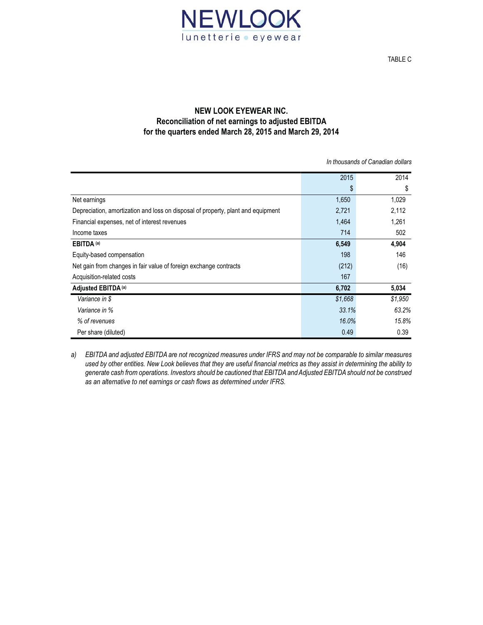

#### **NEW LOOK EYEWEAR INC. Reconciliation of net earnings to adjusted EBITDA for the quarters ended March 28, 2015 and March 29, 2014**

*In thousands of Canadian dollars*

|                                                                                  | 2015    | 2014    |
|----------------------------------------------------------------------------------|---------|---------|
|                                                                                  | \$      | \$      |
| Net earnings                                                                     | 1,650   | 1,029   |
| Depreciation, amortization and loss on disposal of property, plant and equipment | 2,721   | 2,112   |
| Financial expenses, net of interest revenues                                     | 1,464   | 1,261   |
| Income taxes                                                                     | 714     | 502     |
| EBITDA <sup>(a)</sup>                                                            | 6,549   | 4,904   |
| Equity-based compensation                                                        | 198     | 146     |
| Net gain from changes in fair value of foreign exchange contracts                | (212)   | (16)    |
| Acquisition-related costs                                                        | 167     |         |
| Adjusted EBITDA (a)                                                              | 6,702   | 5,034   |
| Variance in \$                                                                   | \$1,668 | \$1,950 |
| Variance in %                                                                    | 33.1%   | 63.2%   |
| % of revenues                                                                    | 16.0%   | 15.8%   |
| Per share (diluted)                                                              | 0.49    | 0.39    |

*a) EBITDA and adjusted EBITDA are not recognized measures under IFRS and may not be comparable to similar measures used by other entities. New Look believes that they are useful financial metrics as they assist in determining the ability to generate cash from operations. Investors should be cautioned that EBITDA and Adjusted EBITDA should not be construed as an alternative to net earnings or cash flows as determined under IFRS.*